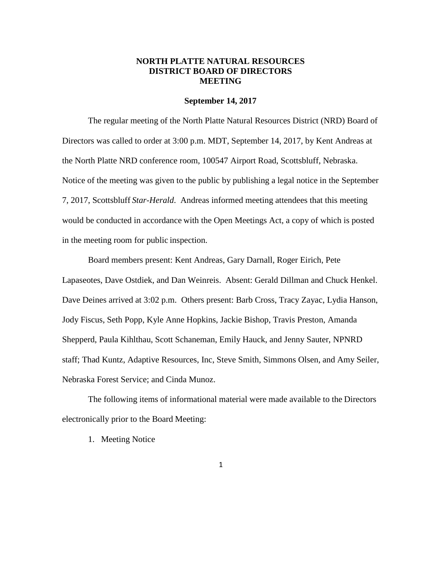## **NORTH PLATTE NATURAL RESOURCES DISTRICT BOARD OF DIRECTORS MEETING**

#### **September 14, 2017**

The regular meeting of the North Platte Natural Resources District (NRD) Board of Directors was called to order at 3:00 p.m. MDT, September 14, 2017, by Kent Andreas at the North Platte NRD conference room, 100547 Airport Road, Scottsbluff, Nebraska. Notice of the meeting was given to the public by publishing a legal notice in the September 7, 2017, Scottsbluff *Star-Herald*. Andreas informed meeting attendees that this meeting would be conducted in accordance with the Open Meetings Act, a copy of which is posted in the meeting room for public inspection.

Board members present: Kent Andreas, Gary Darnall, Roger Eirich, Pete Lapaseotes, Dave Ostdiek, and Dan Weinreis. Absent: Gerald Dillman and Chuck Henkel. Dave Deines arrived at 3:02 p.m. Others present: Barb Cross, Tracy Zayac, Lydia Hanson, Jody Fiscus, Seth Popp, Kyle Anne Hopkins, Jackie Bishop, Travis Preston, Amanda Shepperd, Paula Kihlthau, Scott Schaneman, Emily Hauck, and Jenny Sauter, NPNRD staff; Thad Kuntz, Adaptive Resources, Inc, Steve Smith, Simmons Olsen, and Amy Seiler, Nebraska Forest Service; and Cinda Munoz.

The following items of informational material were made available to the Directors electronically prior to the Board Meeting:

1. Meeting Notice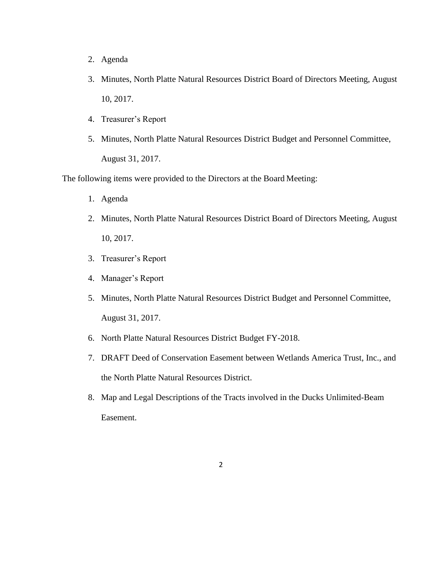- 2. Agenda
- 3. Minutes, North Platte Natural Resources District Board of Directors Meeting, August 10, 2017.
- 4. Treasurer's Report
- 5. Minutes, North Platte Natural Resources District Budget and Personnel Committee, August 31, 2017.

The following items were provided to the Directors at the Board Meeting:

- 1. Agenda
- 2. Minutes, North Platte Natural Resources District Board of Directors Meeting, August 10, 2017.
- 3. Treasurer's Report
- 4. Manager's Report
- 5. Minutes, North Platte Natural Resources District Budget and Personnel Committee, August 31, 2017.
- 6. North Platte Natural Resources District Budget FY-2018.
- 7. DRAFT Deed of Conservation Easement between Wetlands America Trust, Inc., and the North Platte Natural Resources District.
- 8. Map and Legal Descriptions of the Tracts involved in the Ducks Unlimited-Beam Easement.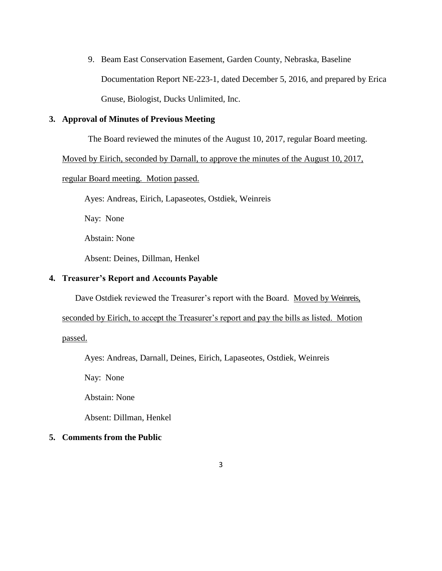9. Beam East Conservation Easement, Garden County, Nebraska, Baseline Documentation Report NE-223-1, dated December 5, 2016, and prepared by Erica Gnuse, Biologist, Ducks Unlimited, Inc.

# **3. Approval of Minutes of Previous Meeting**

The Board reviewed the minutes of the August 10, 2017, regular Board meeting.

Moved by Eirich, seconded by Darnall, to approve the minutes of the August 10, 2017,

#### regular Board meeting. Motion passed.

Ayes: Andreas, Eirich, Lapaseotes, Ostdiek, Weinreis

Nay: None

Abstain: None

Absent: Deines, Dillman, Henkel

## **4. Treasurer's Report and Accounts Payable**

Dave Ostdiek reviewed the Treasurer's report with the Board. Moved by Weinreis,

seconded by Eirich, to accept the Treasurer's report and pay the bills as listed. Motion

passed.

Ayes: Andreas, Darnall, Deines, Eirich, Lapaseotes, Ostdiek, Weinreis

Nay: None

Abstain: None

Absent: Dillman, Henkel

#### **5. Comments from the Public**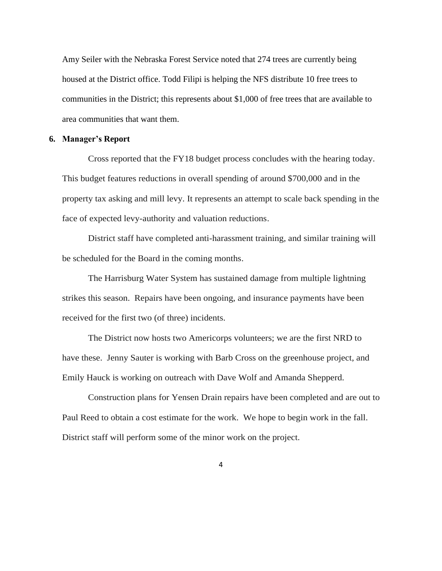Amy Seiler with the Nebraska Forest Service noted that 274 trees are currently being housed at the District office. Todd Filipi is helping the NFS distribute 10 free trees to communities in the District; this represents about \$1,000 of free trees that are available to area communities that want them.

#### **6. Manager's Report**

Cross reported that the FY18 budget process concludes with the hearing today. This budget features reductions in overall spending of around \$700,000 and in the property tax asking and mill levy. It represents an attempt to scale back spending in the face of expected levy-authority and valuation reductions.

District staff have completed anti-harassment training, and similar training will be scheduled for the Board in the coming months.

The Harrisburg Water System has sustained damage from multiple lightning strikes this season. Repairs have been ongoing, and insurance payments have been received for the first two (of three) incidents.

The District now hosts two Americorps volunteers; we are the first NRD to have these. Jenny Sauter is working with Barb Cross on the greenhouse project, and Emily Hauck is working on outreach with Dave Wolf and Amanda Shepperd.

Construction plans for Yensen Drain repairs have been completed and are out to Paul Reed to obtain a cost estimate for the work. We hope to begin work in the fall. District staff will perform some of the minor work on the project.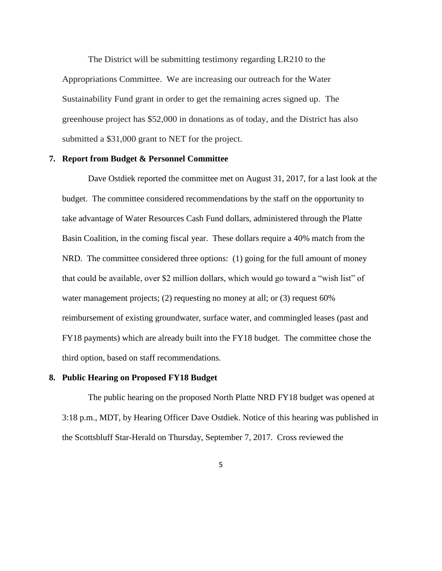The District will be submitting testimony regarding LR210 to the Appropriations Committee. We are increasing our outreach for the Water Sustainability Fund grant in order to get the remaining acres signed up. The greenhouse project has \$52,000 in donations as of today, and the District has also submitted a \$31,000 grant to NET for the project.

#### **7. Report from Budget & Personnel Committee**

Dave Ostdiek reported the committee met on August 31, 2017, for a last look at the budget. The committee considered recommendations by the staff on the opportunity to take advantage of Water Resources Cash Fund dollars, administered through the Platte Basin Coalition, in the coming fiscal year. These dollars require a 40% match from the NRD. The committee considered three options: (1) going for the full amount of money that could be available, over \$2 million dollars, which would go toward a "wish list" of water management projects; (2) requesting no money at all; or (3) request 60% reimbursement of existing groundwater, surface water, and commingled leases (past and FY18 payments) which are already built into the FY18 budget. The committee chose the third option, based on staff recommendations.

## **8. Public Hearing on Proposed FY18 Budget**

The public hearing on the proposed North Platte NRD FY18 budget was opened at 3:18 p.m., MDT, by Hearing Officer Dave Ostdiek. Notice of this hearing was published in the Scottsbluff Star-Herald on Thursday, September 7, 2017. Cross reviewed the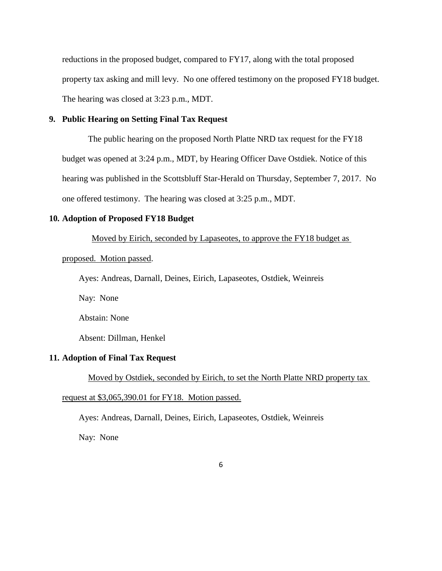reductions in the proposed budget, compared to FY17, along with the total proposed property tax asking and mill levy. No one offered testimony on the proposed FY18 budget. The hearing was closed at 3:23 p.m., MDT.

# **9. Public Hearing on Setting Final Tax Request**

The public hearing on the proposed North Platte NRD tax request for the FY18 budget was opened at 3:24 p.m., MDT, by Hearing Officer Dave Ostdiek. Notice of this hearing was published in the Scottsbluff Star-Herald on Thursday, September 7, 2017. No one offered testimony. The hearing was closed at 3:25 p.m., MDT.

## **10. Adoption of Proposed FY18 Budget**

Moved by Eirich, seconded by Lapaseotes, to approve the FY18 budget as

#### proposed. Motion passed.

Ayes: Andreas, Darnall, Deines, Eirich, Lapaseotes, Ostdiek, Weinreis

Nay: None

Abstain: None

Absent: Dillman, Henkel

#### **11. Adoption of Final Tax Request**

Moved by Ostdiek, seconded by Eirich, to set the North Platte NRD property tax

request at \$3,065,390.01 for FY18. Motion passed.

Ayes: Andreas, Darnall, Deines, Eirich, Lapaseotes, Ostdiek, Weinreis

Nay: None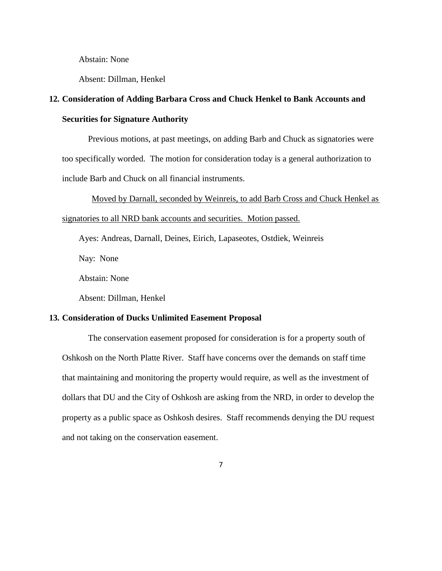Abstain: None

Absent: Dillman, Henkel

# **12. Consideration of Adding Barbara Cross and Chuck Henkel to Bank Accounts and Securities for Signature Authority**

Previous motions, at past meetings, on adding Barb and Chuck as signatories were too specifically worded. The motion for consideration today is a general authorization to include Barb and Chuck on all financial instruments.

Moved by Darnall, seconded by Weinreis, to add Barb Cross and Chuck Henkel as signatories to all NRD bank accounts and securities. Motion passed.

Ayes: Andreas, Darnall, Deines, Eirich, Lapaseotes, Ostdiek, Weinreis

Nay: None

Abstain: None

Absent: Dillman, Henkel

#### **13. Consideration of Ducks Unlimited Easement Proposal**

The conservation easement proposed for consideration is for a property south of Oshkosh on the North Platte River. Staff have concerns over the demands on staff time that maintaining and monitoring the property would require, as well as the investment of dollars that DU and the City of Oshkosh are asking from the NRD, in order to develop the property as a public space as Oshkosh desires. Staff recommends denying the DU request and not taking on the conservation easement.